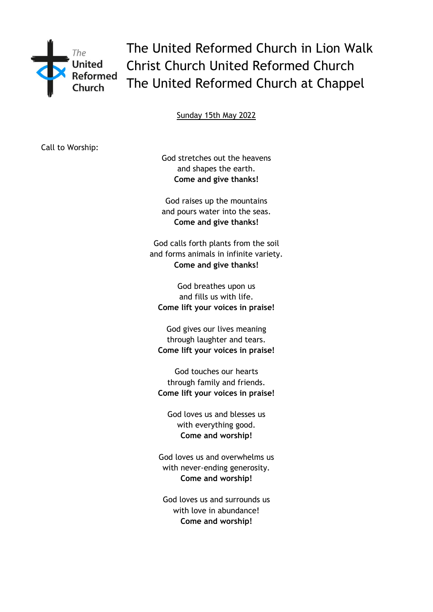

The United Reformed Church in Lion Walk Christ Church United Reformed Church The United Reformed Church at Chappel

Sunday 15th May 2022

Call to Worship:

God stretches out the heavens and shapes the earth. **Come and give thanks!**

God raises up the mountains and pours water into the seas. **Come and give thanks!**

God calls forth plants from the soil and forms animals in infinite variety. **Come and give thanks!**

God breathes upon us and fills us with life. **Come lift your voices in praise!**

God gives our lives meaning through laughter and tears. **Come lift your voices in praise!**

God touches our hearts through family and friends. **Come lift your voices in praise!**

God loves us and blesses us with everything good. **Come and worship!**

God loves us and overwhelms us with never-ending generosity. **Come and worship!**

God loves us and surrounds us with love in abundance! **Come and worship!**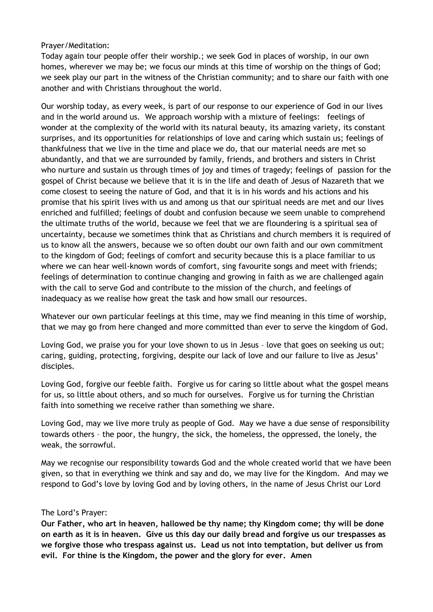## Prayer/Meditation:

Today again tour people offer their worship.; we seek God in places of worship, in our own homes, wherever we may be; we focus our minds at this time of worship on the things of God; we seek play our part in the witness of the Christian community; and to share our faith with one another and with Christians throughout the world.

Our worship today, as every week, is part of our response to our experience of God in our lives and in the world around us. We approach worship with a mixture of feelings: feelings of wonder at the complexity of the world with its natural beauty, its amazing variety, its constant surprises, and its opportunities for relationships of love and caring which sustain us; feelings of thankfulness that we live in the time and place we do, that our material needs are met so abundantly, and that we are surrounded by family, friends, and brothers and sisters in Christ who nurture and sustain us through times of joy and times of tragedy; feelings of passion for the gospel of Christ because we believe that it is in the life and death of Jesus of Nazareth that we come closest to seeing the nature of God, and that it is in his words and his actions and his promise that his spirit lives with us and among us that our spiritual needs are met and our lives enriched and fulfilled; feelings of doubt and confusion because we seem unable to comprehend the ultimate truths of the world, because we feel that we are floundering is a spiritual sea of uncertainty, because we sometimes think that as Christians and church members it is required of us to know all the answers, because we so often doubt our own faith and our own commitment to the kingdom of God; feelings of comfort and security because this is a place familiar to us where we can hear well-known words of comfort, sing favourite songs and meet with friends; feelings of determination to continue changing and growing in faith as we are challenged again with the call to serve God and contribute to the mission of the church, and feelings of inadequacy as we realise how great the task and how small our resources.

Whatever our own particular feelings at this time, may we find meaning in this time of worship, that we may go from here changed and more committed than ever to serve the kingdom of God.

Loving God, we praise you for your love shown to us in Jesus – love that goes on seeking us out; caring, guiding, protecting, forgiving, despite our lack of love and our failure to live as Jesus' disciples.

Loving God, forgive our feeble faith. Forgive us for caring so little about what the gospel means for us, so little about others, and so much for ourselves. Forgive us for turning the Christian faith into something we receive rather than something we share.

Loving God, may we live more truly as people of God. May we have a due sense of responsibility towards others – the poor, the hungry, the sick, the homeless, the oppressed, the lonely, the weak, the sorrowful.

May we recognise our responsibility towards God and the whole created world that we have been given, so that in everything we think and say and do, we may live for the Kingdom. And may we respond to God's love by loving God and by loving others, in the name of Jesus Christ our Lord

## The Lord's Prayer:

**Our Father, who art in heaven, hallowed be thy name; thy Kingdom come; thy will be done on earth as it is in heaven. Give us this day our daily bread and forgive us our trespasses as we forgive those who trespass against us. Lead us not into temptation, but deliver us from evil. For thine is the Kingdom, the power and the glory for ever. Amen**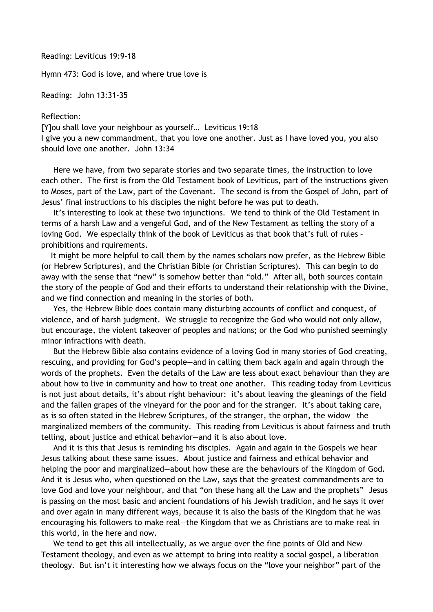Reading: Leviticus 19:9-18

Hymn 473: God is love, and where true love is

Reading: John 13:31-35

## Reflection:

[Y]ou shall love your neighbour as yourself… Leviticus 19:18

I give you a new commandment, that you love one another. Just as I have loved you, you also should love one another. John 13:34

 Here we have, from two separate stories and two separate times, the instruction to love each other. The first is from the Old Testament book of Leviticus, part of the instructions given to Moses, part of the Law, part of the Covenant. The second is from the Gospel of John, part of Jesus' final instructions to his disciples the night before he was put to death.

 It's interesting to look at these two injunctions. We tend to think of the Old Testament in terms of a harsh Law and a vengeful God, and of the New Testament as telling the story of a loving God. We especially think of the book of Leviticus as that book that's full of rules – prohibitions and rquirements.

 It might be more helpful to call them by the names scholars now prefer, as the Hebrew Bible (or Hebrew Scriptures), and the Christian Bible (or Christian Scriptures). This can begin to do away with the sense that "new" is somehow better than "old." After all, both sources contain the story of the people of God and their efforts to understand their relationship with the Divine, and we find connection and meaning in the stories of both.

 Yes, the Hebrew Bible does contain many disturbing accounts of conflict and conquest, of violence, and of harsh judgment. We struggle to recognize the God who would not only allow, but encourage, the violent takeover of peoples and nations; or the God who punished seemingly minor infractions with death.

 But the Hebrew Bible also contains evidence of a loving God in many stories of God creating, rescuing, and providing for God's people—and in calling them back again and again through the words of the prophets. Even the details of the Law are less about exact behaviour than they are about how to live in community and how to treat one another. This reading today from Leviticus is not just about details, it's about right behaviour: it's about leaving the gleanings of the field and the fallen grapes of the vineyard for the poor and for the stranger. It's about taking care, as is so often stated in the Hebrew Scriptures, of the stranger, the orphan, the widow—the marginalized members of the community. This reading from Leviticus is about fairness and truth telling, about justice and ethical behavior—and it is also about love.

 And it is this that Jesus is reminding his disciples. Again and again in the Gospels we hear Jesus talking about these same issues. About justice and fairness and ethical behavior and helping the poor and marginalized—about how these are the behaviours of the Kingdom of God. And it is Jesus who, when questioned on the Law, says that the greatest commandments are to love God and love your neighbour, and that "on these hang all the Law and the prophets" Jesus is passing on the most basic and ancient foundations of his Jewish tradition, and he says it over and over again in many different ways, because it is also the basis of the Kingdom that he was encouraging his followers to make real—the Kingdom that we as Christians are to make real in this world, in the here and now.

 We tend to get this all intellectually, as we argue over the fine points of Old and New Testament theology, and even as we attempt to bring into reality a social gospel, a liberation theology. But isn't it interesting how we always focus on the "love your neighbor" part of the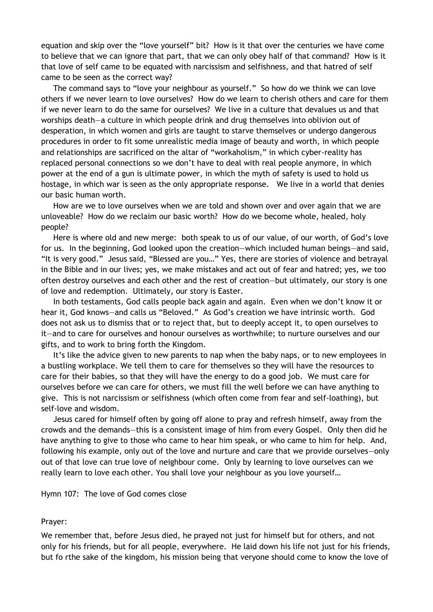equation and skip over the "love yourself" bit? How is it that over the centuries we have come to believe that we can ignore that part, that we can only obey half of that command? How is it that love of self came to be equated with narcissism and selfishness, and that hatred of self came to be seen as the correct way?

 The command says to "love your neighbour as yourself." So how do we think we can love others if we never learn to love ourselves? How do we learn to cherish others and care for them if we never learn to do the same for ourselves? We live in a culture that devalues us and that worships death—a culture in which people drink and drug themselves into oblivion out of desperation, in which women and girls are taught to starve themselves or undergo dangerous procedures in order to fit some unrealistic media image of beauty and worth, in which people and relationships are sacrificed on the altar of "workaholism," in which cyber-reality has replaced personal connections so we don't have to deal with real people anymore, in which power at the end of a gun is ultimate power, in which the myth of safety is used to hold us hostage, in which war is seen as the only appropriate response. We live in a world that denies our basic human worth.

 How are we to love ourselves when we are told and shown over and over again that we are unloveable? How do we reclaim our basic worth? How do we become whole, healed, holy people?

 Here is where old and new merge: both speak to us of our value, of our worth, of God's love for us. In the beginning, God looked upon the creation—which included human beings—and said, "It is very good." Jesus said, "Blessed are you…" Yes, there are stories of violence and betrayal in the Bible and in our lives; yes, we make mistakes and act out of fear and hatred; yes, we too often destroy ourselves and each other and the rest of creation—but ultimately, our story is one of love and redemption. Ultimately, our story is Easter.

 In both testaments, God calls people back again and again. Even when we don't know it or hear it, God knows—and calls us "Beloved." As God's creation we have intrinsic worth. God does not ask us to dismiss that or to reject that, but to deeply accept it, to open ourselves to it—and to care for ourselves and honour ourselves as worthwhile; to nurture ourselves and our gifts, and to work to bring forth the Kingdom.

 It's like the advice given to new parents to nap when the baby naps, or to new employees in a bustling workplace. We tell them to care for themselves so they will have the resources to care for their babies, so that they will have the energy to do a good job. We must care for ourselves before we can care for others, we must fill the well before we can have anything to give. This is not narcissism or selfishness (which often come from fear and self-loathing), but self-love and wisdom.

 Jesus cared for himself often by going off alone to pray and refresh himself, away from the crowds and the demands—this is a consistent image of him from every Gospel. Only then did he have anything to give to those who came to hear him speak, or who came to him for help. And, following his example, only out of the love and nurture and care that we provide ourselves—only out of that love can true love of neighbour come. Only by learning to love ourselves can we really learn to love each other. You shall love your neighbour as you love yourself…

Hymn 107: The love of God comes close

## Prayer:

We remember that, before Jesus died, he prayed not just for himself but for others, and not only for his friends, but for all people, everywhere. He laid down his life not just for his friends, but fo rthe sake of the kingdom, his mission being that veryone should come to know the love of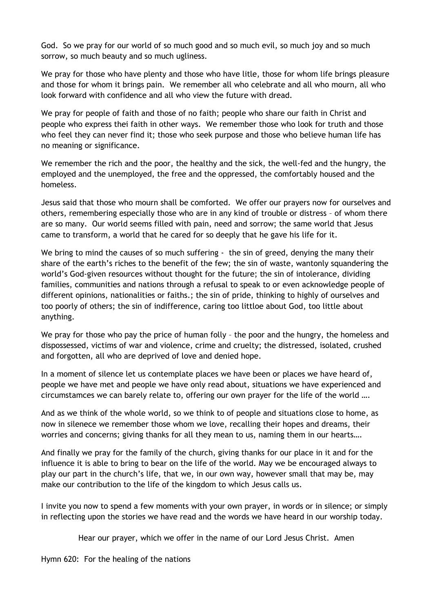God. So we pray for our world of so much good and so much evil, so much joy and so much sorrow, so much beauty and so much ugliness.

We pray for those who have plenty and those who have litle, those for whom life brings pleasure and those for whom it brings pain. We remember all who celebrate and all who mourn, all who look forward with confidence and all who view the future with dread.

We pray for people of faith and those of no faith; people who share our faith in Christ and people who express thei faith in other ways. We remember those who look for truth and those who feel they can never find it; those who seek purpose and those who believe human life has no meaning or significance.

We remember the rich and the poor, the healthy and the sick, the well-fed and the hungry, the employed and the unemployed, the free and the oppressed, the comfortably housed and the homeless.

Jesus said that those who mourn shall be comforted. We offer our prayers now for ourselves and others, remembering especially those who are in any kind of trouble or distress – of whom there are so many. Our world seems filled with pain, need and sorrow; the same world that Jesus came to transform, a world that he cared for so deeply that he gave his life for it.

We bring to mind the causes of so much suffering - the sin of greed, denying the many their share of the earth's riches to the benefit of the few; the sin of waste, wantonly squandering the world's God-given resources without thought for the future; the sin of intolerance, dividing families, communities and nations through a refusal to speak to or even acknowledge people of different opinions, nationalities or faiths.; the sin of pride, thinking to highly of ourselves and too poorly of others; the sin of indifference, caring too littloe about God, too little about anything.

We pray for those who pay the price of human folly - the poor and the hungry, the homeless and dispossessed, victims of war and violence, crime and cruelty; the distressed, isolated, crushed and forgotten, all who are deprived of love and denied hope.

In a moment of silence let us contemplate places we have been or places we have heard of, people we have met and people we have only read about, situations we have experienced and circumstamces we can barely relate to, offering our own prayer for the life of the world ….

And as we think of the whole world, so we think to of people and situations close to home, as now in silenece we remember those whom we love, recalling their hopes and dreams, their worries and concerns; giving thanks for all they mean to us, naming them in our hearts….

And finally we pray for the family of the church, giving thanks for our place in it and for the influence it is able to bring to bear on the life of the world. May we be encouraged always to play our part in the church's life, that we, in our own way, however small that may be, may make our contribution to the life of the kingdom to which Jesus calls us.

I invite you now to spend a few moments with your own prayer, in words or in silence; or simply in reflecting upon the stories we have read and the words we have heard in our worship today.

Hear our prayer, which we offer in the name of our Lord Jesus Christ. Amen

Hymn 620: For the healing of the nations